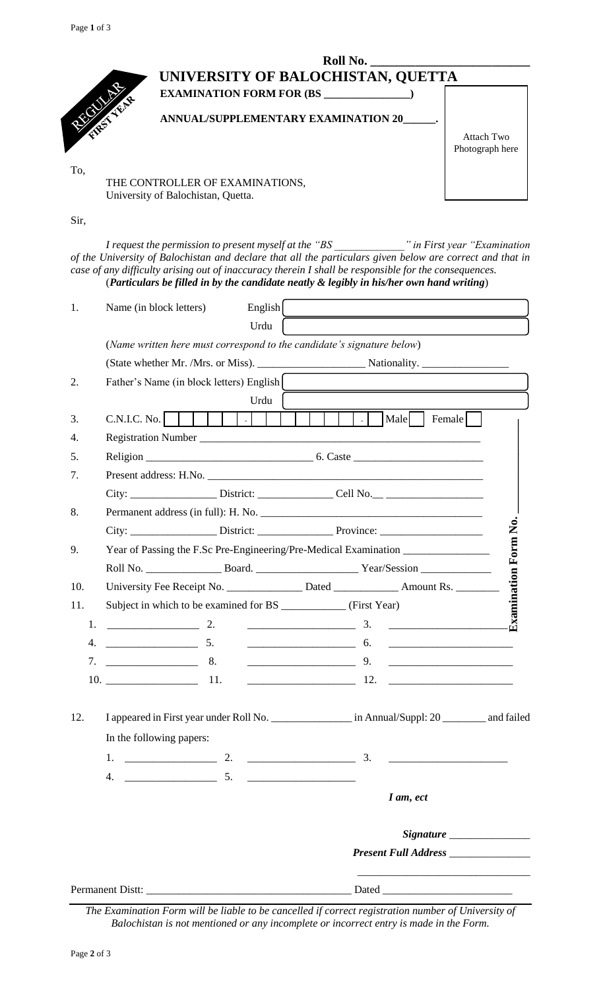| Roll No.                            |                   |  |  |  |  |
|-------------------------------------|-------------------|--|--|--|--|
| UNIVERSITY OF BALOCHISTAN, QUETTA   |                   |  |  |  |  |
| <b>EXAMINATION FORM FOR (BS</b>     |                   |  |  |  |  |
| ANNUAL/SUPPLEMENTARY EXAMINATION 20 |                   |  |  |  |  |
|                                     | <b>Attach Two</b> |  |  |  |  |
|                                     | Photograph here   |  |  |  |  |
|                                     |                   |  |  |  |  |

THE CONTROLLER OF EXAMINATIONS, University of Balochistan, Quetta.

#### Sir,

*I request the permission to present myself at the "BS \_\_\_\_\_\_\_\_\_\_\_\_\_" in First year "Examination of the University of Balochistan and declare that all the particulars given below are correct and that in case of any difficulty arising out of inaccuracy therein I shall be responsible for the consequences.* (*Particulars be filled in by the candidate neatly & legibly in his/her own hand writing*)

| 1.  | Name (in block letters)                                                                             | English |                      |                                      |                      |
|-----|-----------------------------------------------------------------------------------------------------|---------|----------------------|--------------------------------------|----------------------|
|     |                                                                                                     | Urdu    |                      |                                      |                      |
|     | (Name written here must correspond to the candidate's signature below)                              |         |                      |                                      |                      |
|     |                                                                                                     |         |                      |                                      |                      |
| 2.  | Father's Name (in block letters) English                                                            |         |                      |                                      |                      |
|     |                                                                                                     | Urdu    |                      |                                      |                      |
| 3.  | $C.N.I.C. No.$                                                                                      |         | $\sim$ $\sim$ $\sim$ | Male<br>Female                       |                      |
| 4.  |                                                                                                     |         |                      |                                      |                      |
| 5.  |                                                                                                     |         |                      |                                      |                      |
| 7.  | Present address: H.No.                                                                              |         |                      |                                      |                      |
|     | City: _________________________District: _____________________Cell No.__ __________________________ |         |                      |                                      |                      |
| 8.  |                                                                                                     |         |                      |                                      |                      |
|     |                                                                                                     |         |                      |                                      |                      |
| 9.  | Year of Passing the F.Sc Pre-Engineering/Pre-Medical Examination _______________                    |         |                      |                                      |                      |
|     |                                                                                                     |         |                      |                                      |                      |
| 10. | University Fee Receipt No. _______________ Dated _____________ Amount Rs. _______                   |         |                      |                                      | Examination Form No. |
| 11. | Subject in which to be examined for BS _____________ (First Year)                                   |         |                      |                                      |                      |
| 1.  | 2.                                                                                                  |         |                      |                                      |                      |
|     | 5.<br>4.                                                                                            |         |                      |                                      |                      |
|     | 8.                                                                                                  |         |                      |                                      |                      |
|     |                                                                                                     |         |                      |                                      |                      |
| 12. | I appeared in First year under Roll No. __________________ in Annual/Suppl: 20 ________ and failed  |         |                      |                                      |                      |
|     | In the following papers:                                                                            |         |                      |                                      |                      |
|     |                                                                                                     |         |                      |                                      |                      |
|     |                                                                                                     |         |                      |                                      |                      |
|     |                                                                                                     |         |                      | I am, ect                            |                      |
|     |                                                                                                     |         |                      |                                      |                      |
|     |                                                                                                     |         |                      | Present Full Address _______________ |                      |
|     |                                                                                                     |         |                      |                                      |                      |
|     |                                                                                                     |         |                      |                                      |                      |

*The Examination Form will be liable to be cancelled if correct registration number of University of Balochistan is not mentioned or any incomplete or incorrect entry is made in the Form.*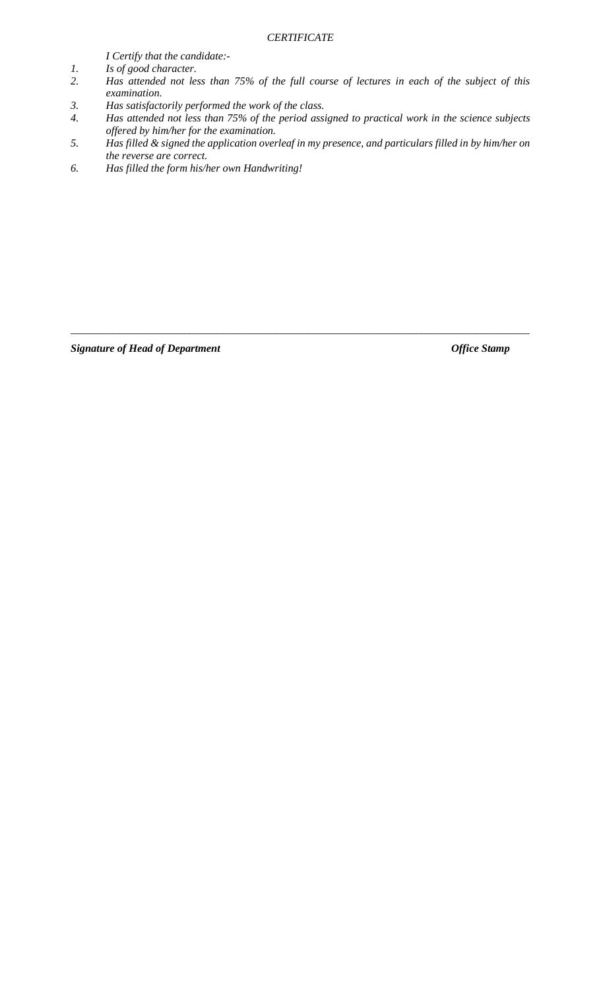### *CERTIFICATE*

*I Certify that the candidate:-*

- *1. Is of good character.*
- *2. Has attended not less than 75% of the full course of lectures in each of the subject of this examination.*
- *3. Has satisfactorily performed the work of the class.*
- *4. Has attended not less than 75% of the period assigned to practical work in the science subjects offered by him/her for the examination.*
- *5. Has filled & signed the application overleaf in my presence, and particulars filled in by him/her on the reverse are correct.*

\_\_\_\_\_\_\_\_\_\_\_\_\_\_\_\_\_\_\_\_\_\_\_\_\_\_\_\_\_\_\_\_\_\_\_\_\_\_\_\_\_\_\_\_\_\_\_\_\_\_\_\_\_\_\_\_\_\_\_\_\_\_\_\_\_\_\_\_\_\_\_\_\_\_\_\_\_\_\_\_\_\_\_\_\_

*6. Has filled the form his/her own Handwriting!*

**Signature of Head of Department**  $Office$  Stamp